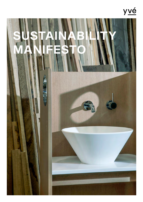# yvé